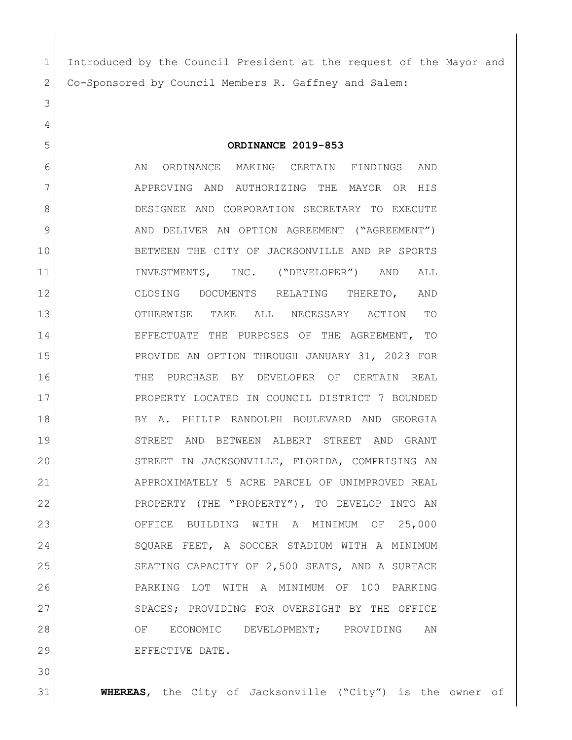Introduced by the Council President at the request of the Mayor and Co-Sponsored by Council Members R. Gaffney and Salem:

**ORDINANCE 2019-853**

6 AN ORDINANCE MAKING CERTAIN FINDINGS AND 7 APPROVING AND AUTHORIZING THE MAYOR OR HIS DESIGNEE AND CORPORATION SECRETARY TO EXECUTE 9 AND DELIVER AN OPTION AGREEMENT ("AGREEMENT") BETWEEN THE CITY OF JACKSONVILLE AND RP SPORTS 11 INVESTMENTS, INC. ("DEVELOPER") AND ALL CLOSING DOCUMENTS RELATING THERETO, AND OTHERWISE TAKE ALL NECESSARY ACTION TO EFFECTUATE THE PURPOSES OF THE AGREEMENT, TO PROVIDE AN OPTION THROUGH JANUARY 31, 2023 FOR THE PURCHASE BY DEVELOPER OF CERTAIN REAL PROPERTY LOCATED IN COUNCIL DISTRICT 7 BOUNDED BY A. PHILIP RANDOLPH BOULEVARD AND GEORGIA STREET AND BETWEEN ALBERT STREET AND GRANT STREET IN JACKSONVILLE, FLORIDA, COMPRISING AN 21 APPROXIMATELY 5 ACRE PARCEL OF UNIMPROVED REAL 22 PROPERTY (THE "PROPERTY"), TO DEVELOP INTO AN OFFICE BUILDING WITH A MINIMUM OF 25,000 24 SQUARE FEET, A SOCCER STADIUM WITH A MINIMUM 25 SEATING CAPACITY OF 2,500 SEATS, AND A SURFACE PARKING LOT WITH A MINIMUM OF 100 PARKING 27 SPACES; PROVIDING FOR OVERSIGHT BY THE OFFICE 28 OF ECONOMIC DEVELOPMENT; PROVIDING AN EFFECTIVE DATE.

**WHEREAS**, the City of Jacksonville ("City") is the owner of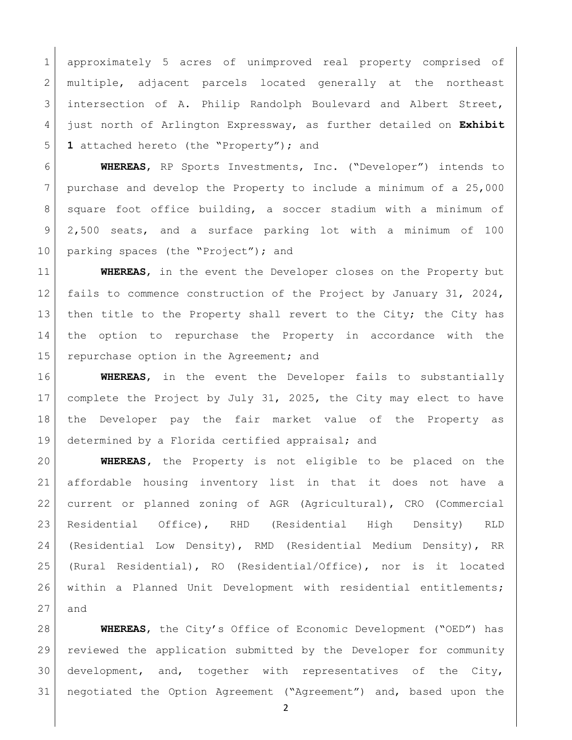approximately 5 acres of unimproved real property comprised of 2 multiple, adjacent parcels located generally at the northeast 3 intersection of A. Philip Randolph Boulevard and Albert Street, just north of Arlington Expressway, as further detailed on **Exhibit 1** attached hereto (the "Property"); and

 **WHEREAS**, RP Sports Investments, Inc. ("Developer") intends to purchase and develop the Property to include a minimum of a 25,000 8 | square foot office building, a soccer stadium with a minimum of 2,500 seats, and a surface parking lot with a minimum of 100 10 parking spaces (the "Project"); and

 **WHEREAS**, in the event the Developer closes on the Property but 12 fails to commence construction of the Project by January 31, 2024, 13 | then title to the Property shall revert to the City; the City has the option to repurchase the Property in accordance with the 15 repurchase option in the Agreement; and

 **WHEREAS**, in the event the Developer fails to substantially complete the Project by July 31, 2025, the City may elect to have the Developer pay the fair market value of the Property as determined by a Florida certified appraisal; and

 **WHEREAS,** the Property is not eligible to be placed on the affordable housing inventory list in that it does not have a current or planned zoning of AGR (Agricultural), CRO (Commercial Residential Office), RHD (Residential High Density) RLD (Residential Low Density), RMD (Residential Medium Density), RR (Rural Residential), RO (Residential/Office), nor is it located within a Planned Unit Development with residential entitlements; and

 **WHEREAS**, the City's Office of Economic Development ("OED") has reviewed the application submitted by the Developer for community development, and, together with representatives of the City, negotiated the Option Agreement ("Agreement") and, based upon the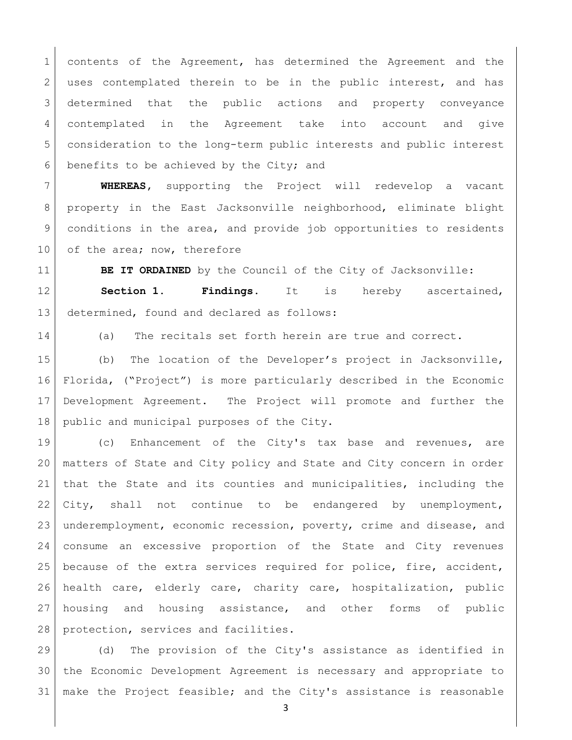contents of the Agreement, has determined the Agreement and the 2 uses contemplated therein to be in the public interest, and has 3 determined that the public actions and property conveyance contemplated in the Agreement take into account and give consideration to the long-term public interests and public interest benefits to be achieved by the City; and

 **WHEREAS,** supporting the Project will redevelop a vacant property in the East Jacksonville neighborhood, eliminate blight conditions in the area, and provide job opportunities to residents 10 of the area; now, therefore

**BE IT ORDAINED** by the Council of the City of Jacksonville: **Section 1. Findings.** It is hereby ascertained, determined, found and declared as follows:

(a) The recitals set forth herein are true and correct.

 (b) The location of the Developer's project in Jacksonville, Florida, ("Project") is more particularly described in the Economic Development Agreement. The Project will promote and further the 18 public and municipal purposes of the City.

 (c) Enhancement of the City's tax base and revenues, are matters of State and City policy and State and City concern in order that the State and its counties and municipalities, including the 22 City, shall not continue to be endangered by unemployment, underemployment, economic recession, poverty, crime and disease, and consume an excessive proportion of the State and City revenues because of the extra services required for police, fire, accident, health care, elderly care, charity care, hospitalization, public housing and housing assistance, and other forms of public protection, services and facilities.

 (d) The provision of the City's assistance as identified in the Economic Development Agreement is necessary and appropriate to make the Project feasible; and the City's assistance is reasonable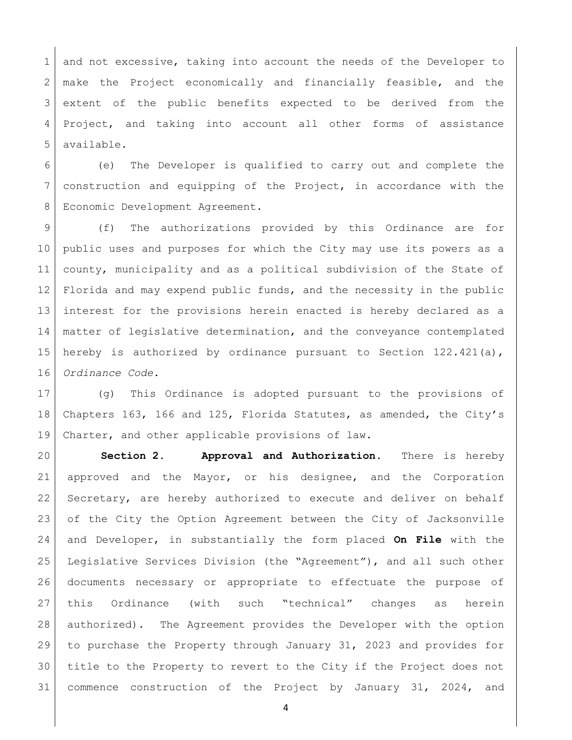1 and not excessive, taking into account the needs of the Developer to 2 make the Project economically and financially feasible, and the extent of the public benefits expected to be derived from the Project, and taking into account all other forms of assistance available.

 (e) The Developer is qualified to carry out and complete the construction and equipping of the Project, in accordance with the 8 Economic Development Agreement.

9 (f) The authorizations provided by this Ordinance are for public uses and purposes for which the City may use its powers as a county, municipality and as a political subdivision of the State of Florida and may expend public funds, and the necessity in the public interest for the provisions herein enacted is hereby declared as a matter of legislative determination, and the conveyance contemplated hereby is authorized by ordinance pursuant to Section 122.421(a), *Ordinance Code*.

 (g) This Ordinance is adopted pursuant to the provisions of Chapters 163, 166 and 125, Florida Statutes, as amended, the City's Charter, and other applicable provisions of law.

 **Section 2. Approval and Authorization.** There is hereby 21 approved and the Mayor, or his designee, and the Corporation 22 Secretary, are hereby authorized to execute and deliver on behalf 23 of the City the Option Agreement between the City of Jacksonville and Developer, in substantially the form placed **On File** with the Legislative Services Division (the "Agreement"), and all such other documents necessary or appropriate to effectuate the purpose of this Ordinance (with such "technical" changes as herein authorized). The Agreement provides the Developer with the option to purchase the Property through January 31, 2023 and provides for title to the Property to revert to the City if the Project does not commence construction of the Project by January 31, 2024, and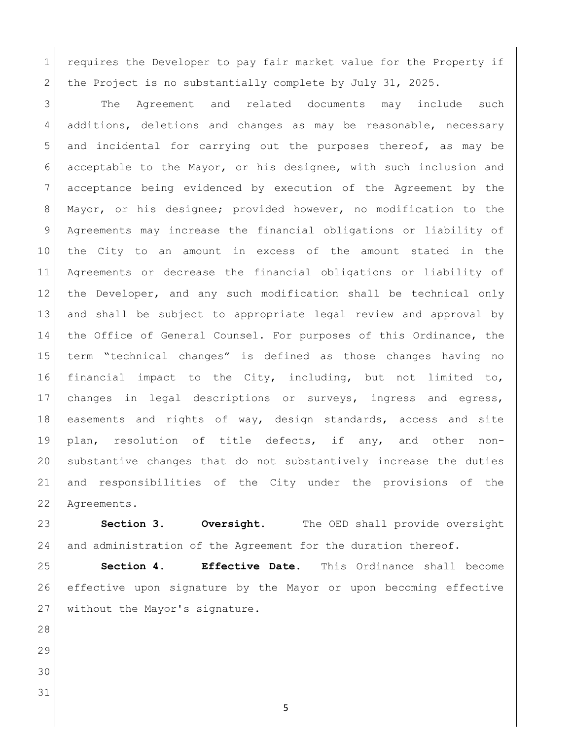1 requires the Developer to pay fair market value for the Property if 2 the Project is no substantially complete by July 31, 2025.

3 The Agreement and related documents may include such 4 additions, deletions and changes as may be reasonable, necessary and incidental for carrying out the purposes thereof, as may be acceptable to the Mayor, or his designee, with such inclusion and acceptance being evidenced by execution of the Agreement by the Mayor, or his designee; provided however, no modification to the Agreements may increase the financial obligations or liability of the City to an amount in excess of the amount stated in the Agreements or decrease the financial obligations or liability of 12 | the Developer, and any such modification shall be technical only and shall be subject to appropriate legal review and approval by 14 the Office of General Counsel. For purposes of this Ordinance, the term "technical changes" is defined as those changes having no financial impact to the City, including, but not limited to, changes in legal descriptions or surveys, ingress and egress, easements and rights of way, design standards, access and site plan, resolution of title defects, if any, and other non- substantive changes that do not substantively increase the duties and responsibilities of the City under the provisions of the Agreements.

 **Section 3. Oversight.** The OED shall provide oversight and administration of the Agreement for the duration thereof.

 **Section 4. Effective Date.** This Ordinance shall become effective upon signature by the Mayor or upon becoming effective without the Mayor's signature.